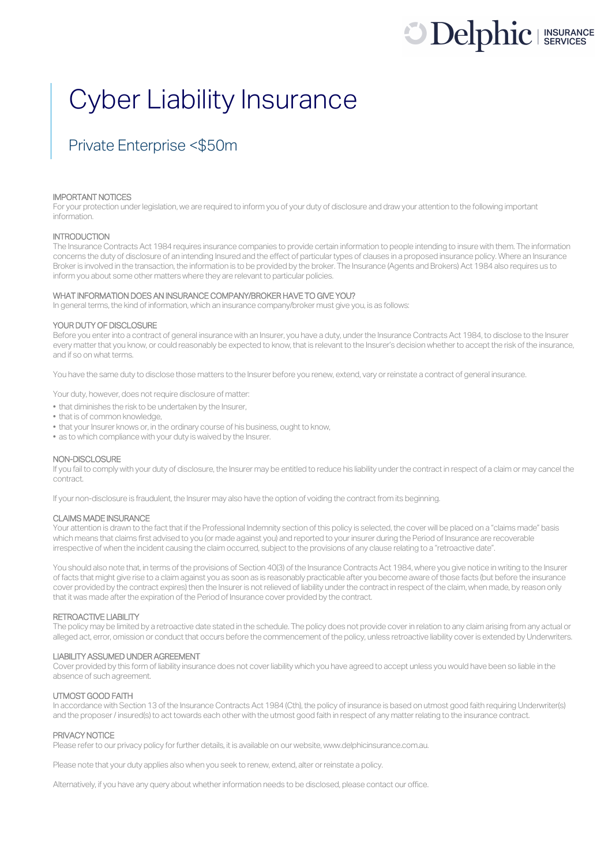# **Delphic** I INSURANCE

## Cyber Liability Insurance

### Private Enterprise <\$50m

#### IMPORTANT NOTICES

For your protection under legislation, we are required to inform you of your duty of disclosure and draw your attention to the following important information.

#### **INTRODUCTION**

The Insurance Contracts Act 1984 requires insurance companies to provide certain information to people intending to insure with them. The information concerns the duty of disclosure of an intending Insured and the effect of particular types of clauses in a proposed insurance policy. Where an Insurance Broker is involved in the transaction, the information is to be provided by the broker. The Insurance (Agents and Brokers) Act 1984 also requires us to inform you about some other matters where they are relevant to particular policies.

#### WHAT INFORMATION DOES AN INSURANCE COMPANY/BROKER HAVE TO GIVE YOU?

In general terms, the kind of information, which an insurance company/broker must give you, is as follows:

#### YOUR DUTY OF DISCLOSURE

Before you enter into a contract of general insurance with an Insurer, you have a duty, under the Insurance Contracts Act 1984, to disclose to the Insurer every matter that you know, or could reasonably be expected to know, that is relevant to the Insurer's decision whether to accept the risk of the insurance, and if so on what terms.

You have the same duty to disclose those matters to the Insurer before you renew, extend, vary or reinstate a contract of general insurance.

Your duty, however, does not require disclosure of matter:

- that diminishes the risk to be undertaken by the Insurer,
- that is of common knowledge,
- that your Insurer knows or, in the ordinary course of his business, ought to know,
- as to which compliance with your duty is waived by the Insurer.

#### NON-DISCLOSURE

If you fail to comply with your duty of disclosure, the Insurer may be entitled to reduce his liability under the contract in respect of a claim or may cancel the contract.

If your non-disclosure is fraudulent, the Insurer may also have the option of voiding the contract from its beginning.

#### CLAIMS MADE INSURANCE

Your attention is drawn to the fact that if the Professional Indemnity section of this policy is selected, the cover will be placed on a "claims made" basis which means that claims first advised to you (or made against you) and reported to your insurer during the Period of Insurance are recoverable irrespective of when the incident causing the claim occurred, subject to the provisions of any clause relating to a "retroactive date".

You should also note that, in terms of the provisions of Section 40(3) of the Insurance Contracts Act 1984, where you give notice in writing to the Insurer of facts that might give rise to a claim against you as soon as is reasonably practicable after you become aware of those facts (but before the insurance cover provided by the contract expires) then the Insurer is not relieved of liability under the contract in respect of the claim, when made, by reason only that it was made after the expiration of the Period of Insurance cover provided by the contract.

#### RETROACTIVE LIABILITY

The policy may be limited by a retroactive date stated in the schedule. The policy does not provide cover in relation to any claim arising from any actual or alleged act, error, omission or conduct that occurs before the commencement of the policy, unless retroactive liability cover is extended by Underwriters.

#### LIABILITY ASSUMED UNDER AGREEMENT

Cover provided by this form of liability insurance does not cover liability which you have agreed to accept unless you would have been so liable in the absence of such agreement.

#### UTMOST GOOD FAITH

In accordance with Section 13 of the Insurance Contracts Act 1984 (Cth), the policy of insurance is based on utmost good faith requiring Underwriter(s) and the proposer/ insured(s) to act towards each other with the utmost good faith in respect of any matter relating to the insurance contract.

#### PRIVACY NOTICE

Please refer to our privacy policy for further details, it is available on our website, www.delphicinsurance.com.au.

Please note that your duty applies also when you seek to renew, extend, alter or reinstate a policy.

Alternatively, if you have any query about whether information needs to be disclosed, please contact our office.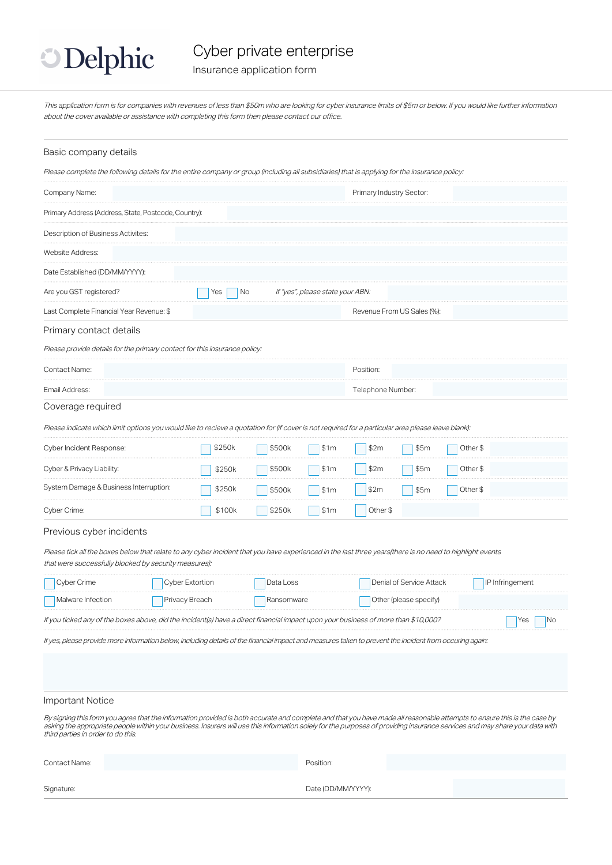

Insurance application form

This application form is for companies with revenues of less than \$50m who are looking for cyber insurance limits of \$5m or below. If you would like further information about the cover available or assistance with completing this form then please contact our office.

#### Basic company details

Please complete the following details for the entire company or group (including all subsidiaries) that is applying for the insurance policy:

| Company Name:                                                                                                                      |                 |                                  | Primary Industry Sector:                                                                                                                                                                                                                                                                                                                               |                   |  |  |
|------------------------------------------------------------------------------------------------------------------------------------|-----------------|----------------------------------|--------------------------------------------------------------------------------------------------------------------------------------------------------------------------------------------------------------------------------------------------------------------------------------------------------------------------------------------------------|-------------------|--|--|
| Primary Address (Address, State, Postcode, Country):                                                                               |                 |                                  |                                                                                                                                                                                                                                                                                                                                                        |                   |  |  |
| Description of Business Activites:                                                                                                 |                 |                                  |                                                                                                                                                                                                                                                                                                                                                        |                   |  |  |
| Website Address:                                                                                                                   |                 |                                  |                                                                                                                                                                                                                                                                                                                                                        |                   |  |  |
| Date Established (DD/MM/YYYY):                                                                                                     |                 |                                  |                                                                                                                                                                                                                                                                                                                                                        |                   |  |  |
| Are you GST registered?                                                                                                            | Yes<br>No       | If "yes", please state your ABN: |                                                                                                                                                                                                                                                                                                                                                        |                   |  |  |
| Last Complete Financial Year Revenue: \$                                                                                           |                 |                                  | Revenue From US Sales (%):                                                                                                                                                                                                                                                                                                                             |                   |  |  |
| Primary contact details                                                                                                            |                 |                                  |                                                                                                                                                                                                                                                                                                                                                        |                   |  |  |
| Please provide details for the primary contact for this insurance policy:                                                          |                 |                                  |                                                                                                                                                                                                                                                                                                                                                        |                   |  |  |
| Contact Name:                                                                                                                      |                 |                                  | Position:                                                                                                                                                                                                                                                                                                                                              |                   |  |  |
| Email Address:                                                                                                                     |                 |                                  |                                                                                                                                                                                                                                                                                                                                                        | Telephone Number: |  |  |
| Coverage required                                                                                                                  |                 |                                  |                                                                                                                                                                                                                                                                                                                                                        |                   |  |  |
|                                                                                                                                    |                 |                                  | Please indicate which limit options you would like to recieve a quotation for (if cover is not required for a particular area please leave blank):                                                                                                                                                                                                     |                   |  |  |
| Cyber Incident Response:                                                                                                           | \$250k          | \$500k<br>\$1m                   | \$2m<br>\$5m                                                                                                                                                                                                                                                                                                                                           | Other \$          |  |  |
| Cyber & Privacy Liability:                                                                                                         | \$250k          | \$500k<br>\$1m                   | \$2m<br>\$5m                                                                                                                                                                                                                                                                                                                                           | Other \$          |  |  |
| System Damage & Business Interruption:                                                                                             | \$250k          | \$500k<br>\$1m                   | \$2m<br>\$5m                                                                                                                                                                                                                                                                                                                                           | Other \$          |  |  |
| Cyber Crime:                                                                                                                       | \$100k          | \$250k<br>\$1m                   | Other \$                                                                                                                                                                                                                                                                                                                                               |                   |  |  |
| Previous cyber incidents                                                                                                           |                 |                                  |                                                                                                                                                                                                                                                                                                                                                        |                   |  |  |
| that were successfully blocked by security measures):                                                                              |                 |                                  | Please tick all the boxes below that relate to any cyber incident that you have experienced in the last three years(there is no need to highlight events                                                                                                                                                                                               |                   |  |  |
| Cyber Crime                                                                                                                        | Cyber Extortion | Data Loss                        | Denial of Service Attack                                                                                                                                                                                                                                                                                                                               | IP Infringement   |  |  |
| Malware Infection                                                                                                                  | Privacy Breach  | Ransomware                       | Other (please specify)                                                                                                                                                                                                                                                                                                                                 |                   |  |  |
| If you ticked any of the boxes above, did the incident(s) have a direct financial impact upon your business of more than \$10,000? |                 |                                  |                                                                                                                                                                                                                                                                                                                                                        | No<br>Yes         |  |  |
|                                                                                                                                    |                 |                                  | If yes, please provide more information below, including details of the financial impact and measures taken to prevent the incident from occuring again:                                                                                                                                                                                               |                   |  |  |
|                                                                                                                                    |                 |                                  |                                                                                                                                                                                                                                                                                                                                                        |                   |  |  |
| Important Notice                                                                                                                   |                 |                                  |                                                                                                                                                                                                                                                                                                                                                        |                   |  |  |
| third parties in order to do this.                                                                                                 |                 |                                  | By signing this form you agree that the information provided is both accurate and complete and that you have made all reasonable attempts to ensure this is the case by<br>asking the appropriate people within your business. Insurers will use this information solely for the purposes of providing insurance services and may share your data with |                   |  |  |

| Contact Name: | Position:          |
|---------------|--------------------|
| Signature:    | Date (DD/MM/YYYY): |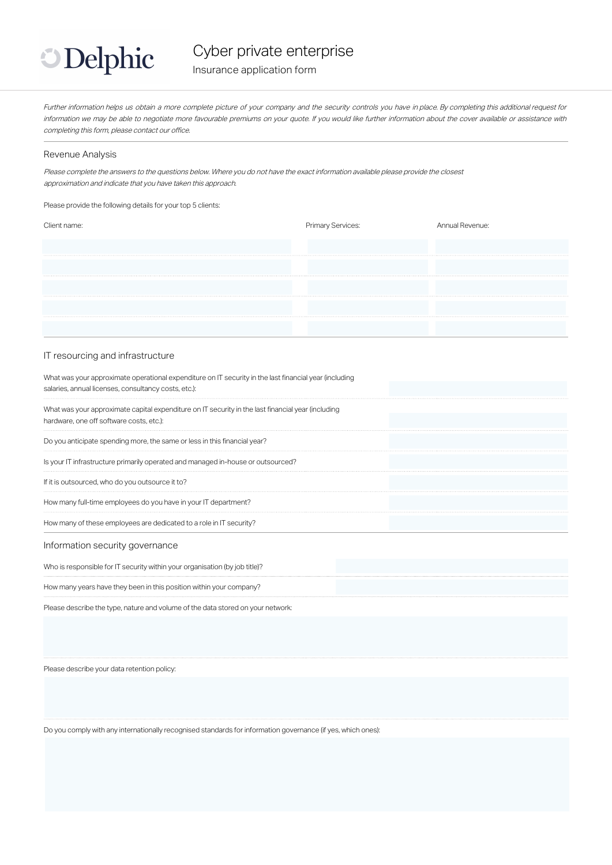

Cyber private enterprise

Insurance application form

Further information helps us obtain <sup>a</sup> more complete picture of your company and the security controls you have in place. By completing this additional request for information we may be able to negotiate more favourable premiums on your quote. If you would like further information about the cover available or assistance with completing this form, please contact our office.

#### Revenue Analysis

Please complete the answers to the questions below. Where you do not have the exact information available please provide the closest approximation and indicate that you have taken this approach.

Please provide the following details for your top 5 clients:

| <b>Primary Services:</b> | Annual Revenue: |
|--------------------------|-----------------|
|                          |                 |
|                          |                 |
|                          |                 |
|                          |                 |
|                          |                 |
|                          |                 |

#### IT resourcing and infrastructure

| What was your approximate operational expenditure on IT security in the last financial year (including<br>salaries, annual licenses, consultancy costs, etc.): |  |
|----------------------------------------------------------------------------------------------------------------------------------------------------------------|--|
| What was your approximate capital expenditure on IT security in the last financial year (including<br>hardware, one off software costs, etc.):                 |  |
| Do you anticipate spending more, the same or less in this financial year?                                                                                      |  |
| Is your IT infrastructure primarily operated and managed in-house or outsourced?                                                                               |  |
| If it is outsourced, who do you outsource it to?                                                                                                               |  |
| How many full-time employees do you have in your IT department?                                                                                                |  |
| How many of these employees are dedicated to a role in IT security?                                                                                            |  |

#### Information security governance

Who is responsible for IT security within your organisation (by job title)?

How many years have they been in this position within your company?

Please describe the type, nature and volume of the data stored on your network:

Please describe your data retention policy:

Do you comply with any internationally recognised standards for information governance (if yes, which ones):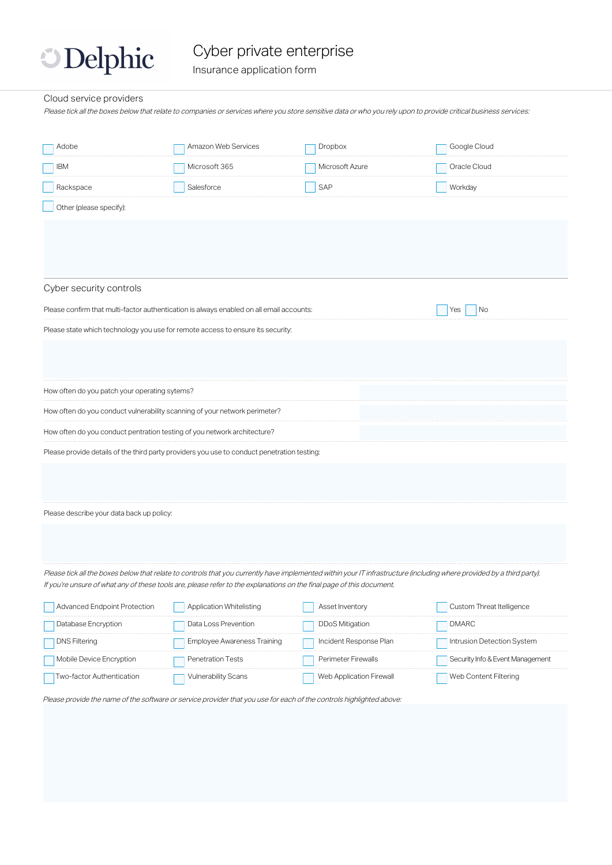## **Delphic**

### Cyber private enterprise

Insurance application form

#### Cloud service providers

Please tick all the boxes below that relate to companies or services where you store sensitive data or who you rely upon to provide critical business services:

| Adobe                                                                                                                                                                  | Amazon Web Services                |  | Dropbox                  |  | Google Cloud                     |
|------------------------------------------------------------------------------------------------------------------------------------------------------------------------|------------------------------------|--|--------------------------|--|----------------------------------|
| <b>IBM</b>                                                                                                                                                             | Microsoft 365                      |  | Microsoft Azure          |  | Oracle Cloud                     |
| Rackspace                                                                                                                                                              | Salesforce                         |  | SAP                      |  | Workday                          |
| Other (please specify):                                                                                                                                                |                                    |  |                          |  |                                  |
|                                                                                                                                                                        |                                    |  |                          |  |                                  |
|                                                                                                                                                                        |                                    |  |                          |  |                                  |
|                                                                                                                                                                        |                                    |  |                          |  |                                  |
| Cyber security controls                                                                                                                                                |                                    |  |                          |  |                                  |
| Please confirm that multi-factor authentication is always enabled on all email accounts:                                                                               |                                    |  |                          |  | No<br>Yes                        |
| Please state which technology you use for remote access to ensure its security:                                                                                        |                                    |  |                          |  |                                  |
|                                                                                                                                                                        |                                    |  |                          |  |                                  |
|                                                                                                                                                                        |                                    |  |                          |  |                                  |
| How often do you patch your operating sytems?                                                                                                                          |                                    |  |                          |  |                                  |
| How often do you conduct vulnerability scanning of your network perimeter?                                                                                             |                                    |  |                          |  |                                  |
| How often do you conduct pentration testing of you network architecture?                                                                                               |                                    |  |                          |  |                                  |
| Please provide details of the third party providers you use to conduct penetration testing:                                                                            |                                    |  |                          |  |                                  |
|                                                                                                                                                                        |                                    |  |                          |  |                                  |
|                                                                                                                                                                        |                                    |  |                          |  |                                  |
| Please describe your data back up policy:                                                                                                                              |                                    |  |                          |  |                                  |
|                                                                                                                                                                        |                                    |  |                          |  |                                  |
|                                                                                                                                                                        |                                    |  |                          |  |                                  |
| Please tick all the boxes below that relate to controls that you currently have implemented within your IT infrastructure (including where provided by a third party). |                                    |  |                          |  |                                  |
| If you're unsure of what any of these tools are, please refer to the explanations on the final page of this document.                                                  |                                    |  |                          |  |                                  |
| Advanced Endpoint Protection                                                                                                                                           | Application Whitelisting           |  | Asset Inventory          |  | Custom Threat Itelligence        |
| Database Encryption                                                                                                                                                    | Data Loss Prevention               |  | <b>DDoS Mitigation</b>   |  | <b>DMARC</b>                     |
| <b>DNS Filtering</b>                                                                                                                                                   | <b>Employee Awareness Training</b> |  | Incident Response Plan   |  | Intrusion Detection System       |
| Mobile Device Encryption                                                                                                                                               | Penetration Tests                  |  | Perimeter Firewalls      |  | Security Info & Event Management |
| Two-factor Authentication                                                                                                                                              | <b>Vulnerability Scans</b>         |  | Web Application Firewall |  | Web Content Filtering            |

Please provide the name of the software or service provider that you use for each of the controls highlighted above: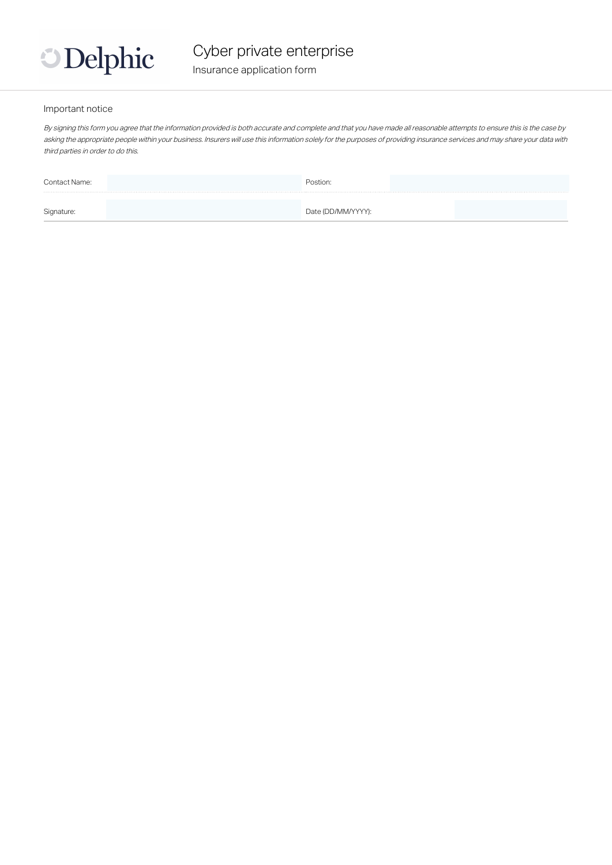

#### Important notice

By signing this form you agree that the information provided is both accurate and complete and that you have made all reasonable attempts to ensure this is the case by asking the appropriate people within your business. Insurers will use this information solely for the purposes of providing insurance services and may share your data with third parties in order to do this.

| Contact Name: | Postion:           |  |
|---------------|--------------------|--|
|               |                    |  |
| Signature:    | Date (DD/MM/YYYY): |  |